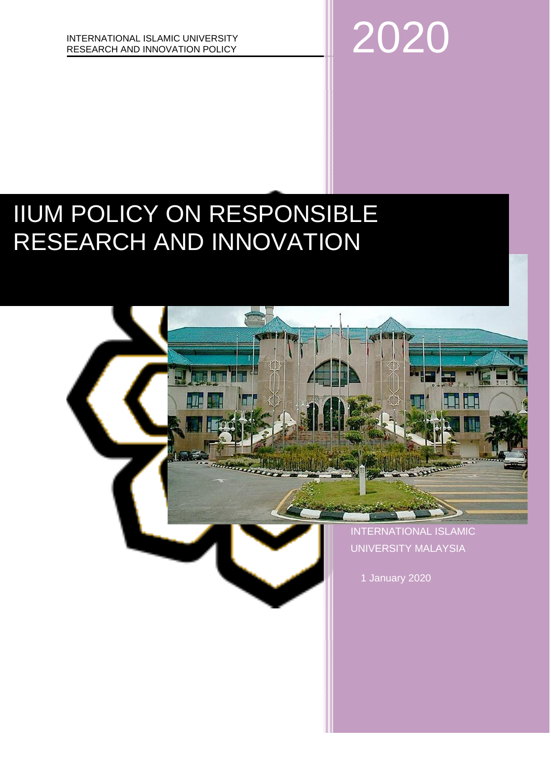

# IIUM POLICY ON RESPONSIBLE RESEARCH AND INNOVATION

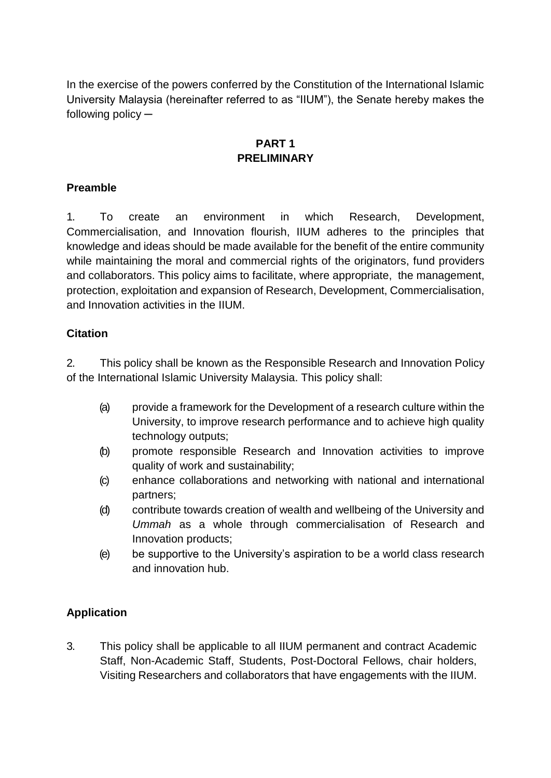In the exercise of the powers conferred by the Constitution of the International Islamic University Malaysia (hereinafter referred to as "IIUM"), the Senate hereby makes the following policy ─

# **PART 1 PRELIMINARY**

# **Preamble**

1. To create an environment in which Research, Development, Commercialisation, and Innovation flourish, IIUM adheres to the principles that knowledge and ideas should be made available for the benefit of the entire community while maintaining the moral and commercial rights of the originators, fund providers and collaborators. This policy aims to facilitate, where appropriate, the management, protection, exploitation and expansion of Research, Development, Commercialisation, and Innovation activities in the IIUM.

### **Citation**

2. This policy shall be known as the Responsible Research and Innovation Policy of the International Islamic University Malaysia. This policy shall:

- (a) provide a framework for the Development of a research culture within the University, to improve research performance and to achieve high quality technology outputs;
- (b) promote responsible Research and Innovation activities to improve quality of work and sustainability;
- (c) enhance collaborations and networking with national and international partners;
- (d) contribute towards creation of wealth and wellbeing of the University and *Ummah* as a whole through commercialisation of Research and Innovation products;
- (e) be supportive to the University's aspiration to be a world class research and innovation hub.

### **Application**

3. This policy shall be applicable to all IIUM permanent and contract Academic Staff, Non-Academic Staff, Students, Post-Doctoral Fellows, chair holders, Visiting Researchers and collaborators that have engagements with the IIUM.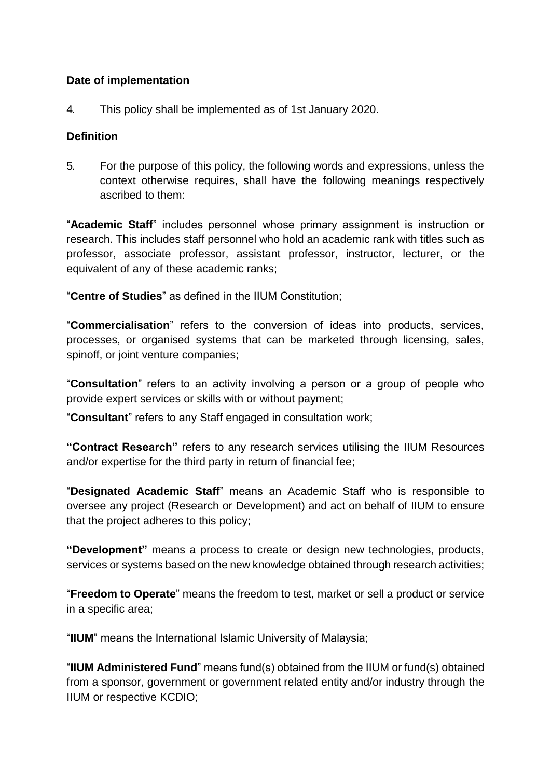#### **Date of implementation**

4. This policy shall be implemented as of 1st January 2020.

#### **Definition**

5. For the purpose of this policy, the following words and expressions, unless the context otherwise requires, shall have the following meanings respectively ascribed to them:

"**Academic Staff**" includes personnel whose primary assignment is instruction or research. This includes staff personnel who hold an academic rank with titles such as professor, associate professor, assistant professor, instructor, lecturer, or the equivalent of any of these academic ranks;

"**Centre of Studies**" as defined in the IIUM Constitution;

"**Commercialisation**" refers to the conversion of ideas into products, services, processes, or organised systems that can be marketed through licensing, sales, spinoff, or joint venture companies;

"**Consultation**" refers to an activity involving a person or a group of people who provide expert services or skills with or without payment;

"**Consultant**" refers to any Staff engaged in consultation work;

**"Contract Research"** refers to any research services utilising the IIUM Resources and/or expertise for the third party in return of financial fee;

"**Designated Academic Staff**" means an Academic Staff who is responsible to oversee any project (Research or Development) and act on behalf of IIUM to ensure that the project adheres to this policy;

**"Development"** means a process to create or design new technologies, products, services or systems based on the new knowledge obtained through research activities;

"**Freedom to Operate**" means the freedom to test, market or sell a product or service in a specific area;

"**IIUM**" means the International Islamic University of Malaysia;

"**IIUM Administered Fund**" means fund(s) obtained from the IIUM or fund(s) obtained from a sponsor, government or government related entity and/or industry through the IIUM or respective KCDIO;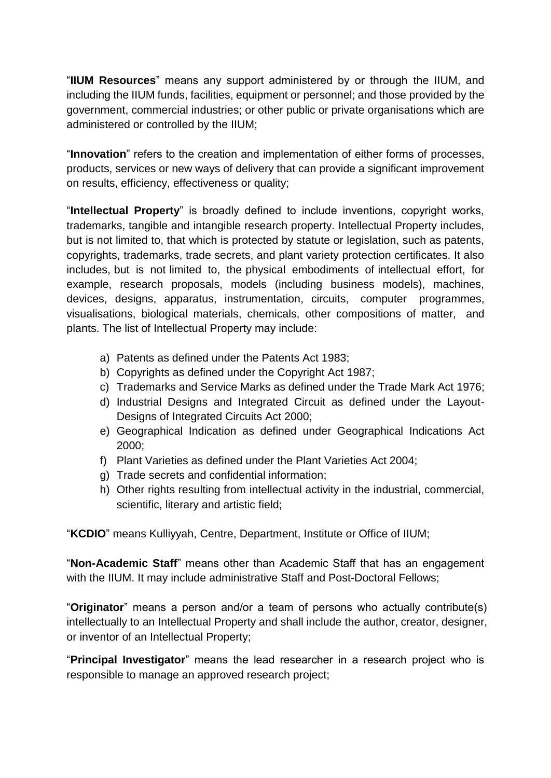"**IIUM Resources**" means any support administered by or through the IIUM, and including the IIUM funds, facilities, equipment or personnel; and those provided by the government, commercial industries; or other public or private organisations which are administered or controlled by the IIUM;

"**Innovation**" refers to the creation and implementation of either forms of processes, products, services or new ways of delivery that can provide a significant improvement on results, efficiency, effectiveness or quality;

"**Intellectual Property**" is broadly defined to include inventions, copyright works, trademarks, tangible and intangible research property. Intellectual Property includes, but is not limited to, that which is protected by statute or legislation, such as patents, copyrights, trademarks, trade secrets, and plant variety protection certificates. It also includes, but is not limited to, the physical embodiments of intellectual effort, for example, research proposals, models (including business models), machines, devices, designs, apparatus, instrumentation, circuits, computer programmes, visualisations, biological materials, chemicals, other compositions of matter, and plants. The list of Intellectual Property may include:

- a) Patents as defined under the Patents Act 1983;
- b) Copyrights as defined under the Copyright Act 1987;
- c) Trademarks and Service Marks as defined under the Trade Mark Act 1976;
- d) Industrial Designs and Integrated Circuit as defined under the Layout-Designs of Integrated Circuits Act 2000;
- e) Geographical Indication as defined under Geographical Indications Act 2000;
- f) Plant Varieties as defined under the Plant Varieties Act 2004;
- g) Trade secrets and confidential information;
- h) Other rights resulting from intellectual activity in the industrial, commercial, scientific, literary and artistic field;

"**KCDIO**" means Kulliyyah, Centre, Department, Institute or Office of IIUM;

"**Non-Academic Staff**" means other than Academic Staff that has an engagement with the IIUM. It may include administrative Staff and Post-Doctoral Fellows;

"**Originator**" means a person and/or a team of persons who actually contribute(s) intellectually to an Intellectual Property and shall include the author, creator, designer, or inventor of an Intellectual Property;

"**Principal Investigator**" means the lead researcher in a research project who is responsible to manage an approved research project;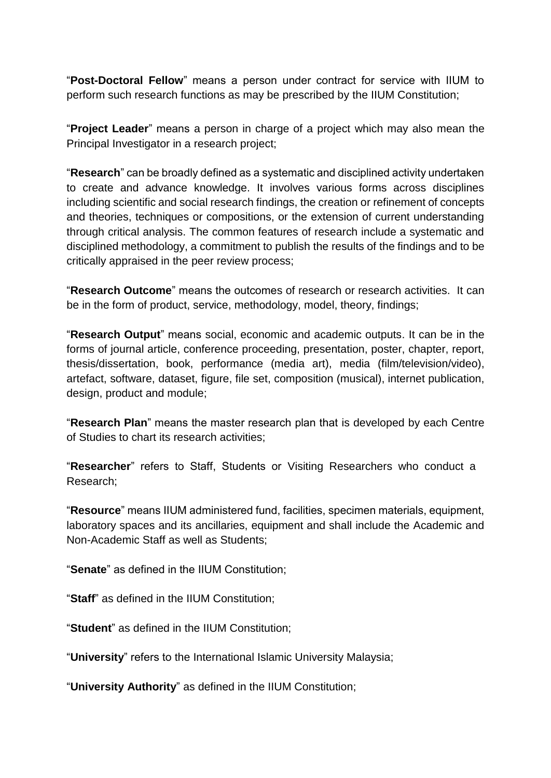"**Post-Doctoral Fellow**" means a person under contract for service with IIUM to perform such research functions as may be prescribed by the IIUM Constitution;

"**Project Leader**" means a person in charge of a project which may also mean the Principal Investigator in a research project;

"**Research**" can be broadly defined as a systematic and disciplined activity undertaken to create and advance knowledge. It involves various forms across disciplines including scientific and social research findings, the creation or refinement of concepts and theories, techniques or compositions, or the extension of current understanding through critical analysis. The common features of research include a systematic and disciplined methodology, a commitment to publish the results of the findings and to be critically appraised in the peer review process;

"**Research Outcome**" means the outcomes of research or research activities. It can be in the form of product, service, methodology, model, theory, findings;

"**Research Output**" means social, economic and academic outputs. It can be in the forms of journal article, conference proceeding, presentation, poster, chapter, report, thesis/dissertation, book, performance (media art), media (film/television/video), artefact, software, dataset, figure, file set, composition (musical), internet publication, design, product and module;

"**Research Plan**" means the master research plan that is developed by each Centre of Studies to chart its research activities;

"**Researcher**" refers to Staff, Students or Visiting Researchers who conduct a Research;

"**Resource**" means IIUM administered fund, facilities, specimen materials, equipment, laboratory spaces and its ancillaries, equipment and shall include the Academic and Non-Academic Staff as well as Students;

"**Senate**" as defined in the IIUM Constitution;

"**Staff**" as defined in the IIUM Constitution;

"**Student**" as defined in the IIUM Constitution;

"**University**" refers to the International Islamic University Malaysia;

"**University Authority**" as defined in the IIUM Constitution;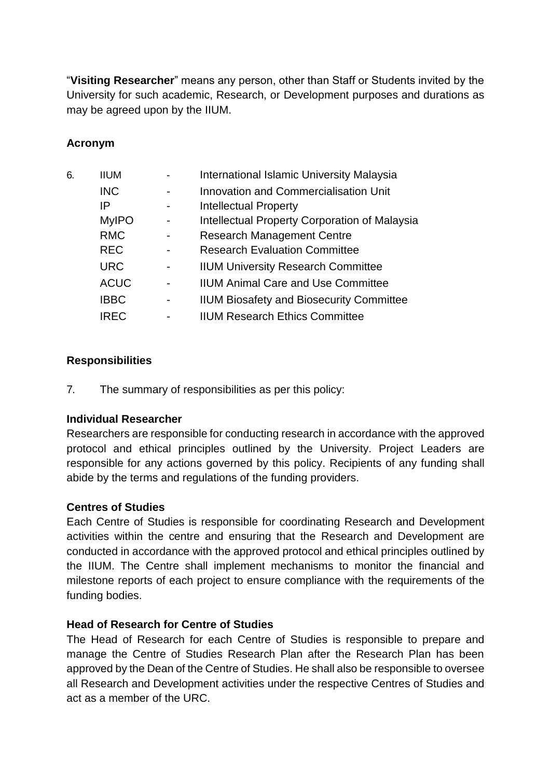"**Visiting Researcher**" means any person, other than Staff or Students invited by the University for such academic, Research, or Development purposes and durations as may be agreed upon by the IIUM.

### **Acronym**

| 6. | <b>IIUM</b>  |   | <b>International Islamic University Malaysia</b> |  |
|----|--------------|---|--------------------------------------------------|--|
|    | <b>INC</b>   |   | <b>Innovation and Commercialisation Unit</b>     |  |
|    | IP           |   | <b>Intellectual Property</b>                     |  |
|    | <b>MyIPO</b> |   | Intellectual Property Corporation of Malaysia    |  |
|    | <b>RMC</b>   |   | <b>Research Management Centre</b>                |  |
|    | <b>REC</b>   |   | <b>Research Evaluation Committee</b>             |  |
|    | <b>URC</b>   | - | <b>IIUM University Research Committee</b>        |  |
|    | <b>ACUC</b>  |   | <b>IIUM Animal Care and Use Committee</b>        |  |
|    | <b>IBBC</b>  | - | <b>IIUM Biosafety and Biosecurity Committee</b>  |  |
|    | IREC         |   | <b>IIUM Research Ethics Committee</b>            |  |

### **Responsibilities**

7. The summary of responsibilities as per this policy:

### **Individual Researcher**

Researchers are responsible for conducting research in accordance with the approved protocol and ethical principles outlined by the University. Project Leaders are responsible for any actions governed by this policy. Recipients of any funding shall abide by the terms and regulations of the funding providers.

### **Centres of Studies**

Each Centre of Studies is responsible for coordinating Research and Development activities within the centre and ensuring that the Research and Development are conducted in accordance with the approved protocol and ethical principles outlined by the IIUM. The Centre shall implement mechanisms to monitor the financial and milestone reports of each project to ensure compliance with the requirements of the funding bodies.

#### **Head of Research for Centre of Studies**

The Head of Research for each Centre of Studies is responsible to prepare and manage the Centre of Studies Research Plan after the Research Plan has been approved by the Dean of the Centre of Studies. He shall also be responsible to oversee all Research and Development activities under the respective Centres of Studies and act as a member of the URC.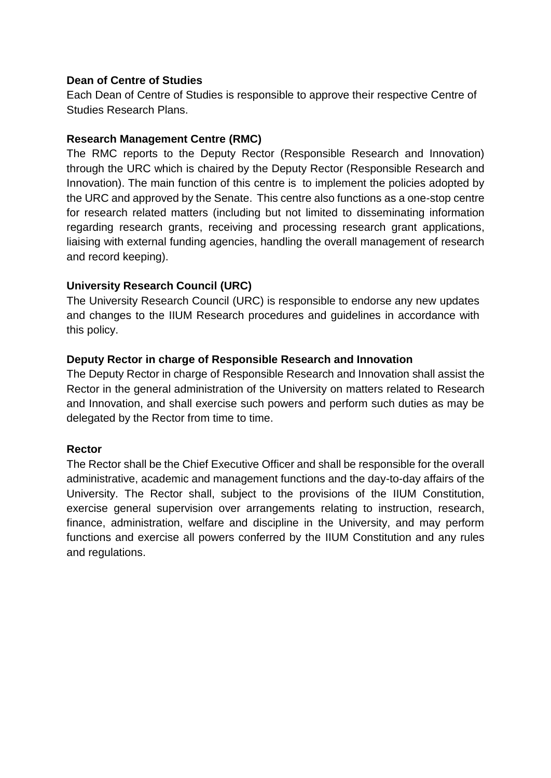#### **Dean of Centre of Studies**

Each Dean of Centre of Studies is responsible to approve their respective Centre of Studies Research Plans.

#### **Research Management Centre (RMC)**

The RMC reports to the Deputy Rector (Responsible Research and Innovation) through the URC which is chaired by the Deputy Rector (Responsible Research and Innovation). The main function of this centre is to implement the policies adopted by the URC and approved by the Senate. This centre also functions as a one-stop centre for research related matters (including but not limited to disseminating information regarding research grants, receiving and processing research grant applications, liaising with external funding agencies, handling the overall management of research and record keeping).

### **University Research Council (URC)**

The University Research Council (URC) is responsible to endorse any new updates and changes to the IIUM Research procedures and guidelines in accordance with this policy.

### **Deputy Rector in charge of Responsible Research and Innovation**

The Deputy Rector in charge of Responsible Research and Innovation shall assist the Rector in the general administration of the University on matters related to Research and Innovation, and shall exercise such powers and perform such duties as may be delegated by the Rector from time to time.

### **Rector**

The Rector shall be the Chief Executive Officer and shall be responsible for the overall administrative, academic and management functions and the day-to-day affairs of the University. The Rector shall, subject to the provisions of the IIUM Constitution, exercise general supervision over arrangements relating to instruction, research, finance, administration, welfare and discipline in the University, and may perform functions and exercise all powers conferred by the IIUM Constitution and any rules and regulations.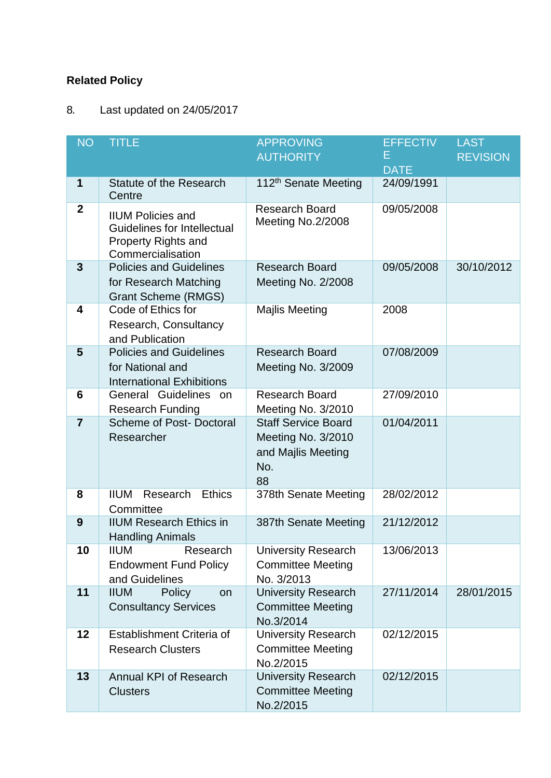# **Related Policy**

# 8. Last updated on 24/05/2017

| <b>NO</b>        | <b>TITLE</b>                                                                                                      | <b>APPROVING</b>                                                                    | <b>EFFECTIV</b> | <b>LAST</b>     |
|------------------|-------------------------------------------------------------------------------------------------------------------|-------------------------------------------------------------------------------------|-----------------|-----------------|
|                  |                                                                                                                   | <b>AUTHORITY</b>                                                                    | E.              | <b>REVISION</b> |
|                  |                                                                                                                   |                                                                                     | <b>DATE</b>     |                 |
| 1                | <b>Statute of the Research</b><br>Centre                                                                          | 112 <sup>th</sup> Senate Meeting                                                    | 24/09/1991      |                 |
| $\boldsymbol{2}$ | <b>IIUM Policies and</b><br><b>Guidelines for Intellectual</b><br><b>Property Rights and</b><br>Commercialisation | <b>Research Board</b><br>Meeting No.2/2008                                          | 09/05/2008      |                 |
| 3                | <b>Policies and Guidelines</b><br>for Research Matching<br><b>Grant Scheme (RMGS)</b>                             | <b>Research Board</b><br>Meeting No. 2/2008                                         | 09/05/2008      | 30/10/2012      |
| 4                | Code of Ethics for<br>Research, Consultancy<br>and Publication                                                    | <b>Majlis Meeting</b>                                                               | 2008            |                 |
| 5                | <b>Policies and Guidelines</b><br>for National and<br><b>International Exhibitions</b>                            | <b>Research Board</b><br>Meeting No. 3/2009                                         | 07/08/2009      |                 |
| 6                | General Guidelines<br>on<br><b>Research Funding</b>                                                               | <b>Research Board</b><br>Meeting No. 3/2010                                         | 27/09/2010      |                 |
| $\overline{7}$   | <b>Scheme of Post- Doctoral</b><br>Researcher                                                                     | <b>Staff Service Board</b><br>Meeting No. 3/2010<br>and Majlis Meeting<br>No.<br>88 | 01/04/2011      |                 |
| 8                | <b>Ethics</b><br><b>IIUM</b><br>Research<br>Committee                                                             | 378th Senate Meeting                                                                | 28/02/2012      |                 |
| 9                | <b>IIUM Research Ethics in</b><br><b>Handling Animals</b>                                                         | 387th Senate Meeting                                                                | 21/12/2012      |                 |
| 10               | <b>IIUM</b><br>Research<br><b>Endowment Fund Policy</b><br>and Guidelines                                         | <b>University Research</b><br><b>Committee Meeting</b><br>No. 3/2013                | 13/06/2013      |                 |
| 11               | <b>IIUM</b><br><b>Policy</b><br>on<br><b>Consultancy Services</b>                                                 | <b>University Research</b><br><b>Committee Meeting</b><br>No.3/2014                 | 27/11/2014      | 28/01/2015      |
| 12               | Establishment Criteria of<br><b>Research Clusters</b>                                                             | <b>University Research</b><br><b>Committee Meeting</b><br>No.2/2015                 | 02/12/2015      |                 |
| 13               | Annual KPI of Research<br><b>Clusters</b>                                                                         | <b>University Research</b><br><b>Committee Meeting</b><br>No.2/2015                 | 02/12/2015      |                 |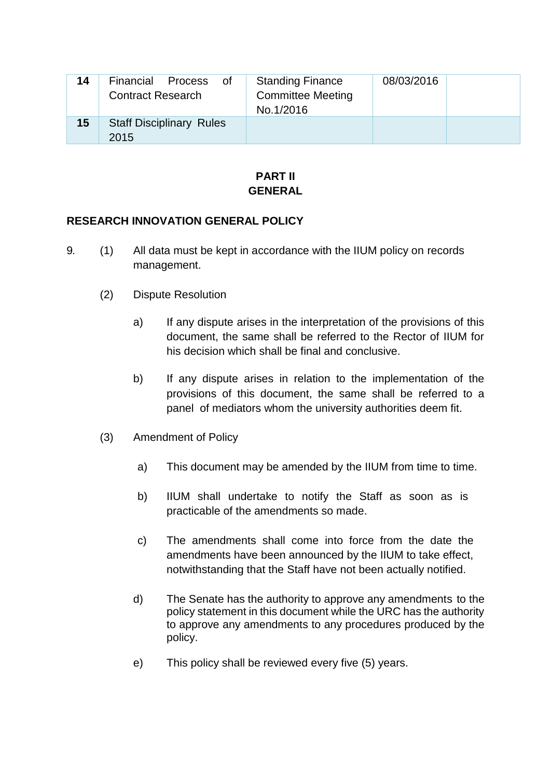| 14 | Financial<br>Process<br>0f<br><b>Contract Research</b> | <b>Standing Finance</b><br><b>Committee Meeting</b><br>No.1/2016 | 08/03/2016 |
|----|--------------------------------------------------------|------------------------------------------------------------------|------------|
| 15 | <b>Staff Disciplinary Rules</b><br>2015                |                                                                  |            |

#### **PART II GENERAL**

#### **RESEARCH INNOVATION GENERAL POLICY**

- 9. (1) All data must be kept in accordance with the IIUM policy on records management.
	- (2) Dispute Resolution
		- a) If any dispute arises in the interpretation of the provisions of this document, the same shall be referred to the Rector of IIUM for his decision which shall be final and conclusive.
		- b) If any dispute arises in relation to the implementation of the provisions of this document, the same shall be referred to a panel of mediators whom the university authorities deem fit.
	- (3) Amendment of Policy
		- a) This document may be amended by the IIUM from time to time.
		- b) IIUM shall undertake to notify the Staff as soon as is practicable of the amendments so made.
		- c) The amendments shall come into force from the date the amendments have been announced by the IIUM to take effect, notwithstanding that the Staff have not been actually notified.
		- d) The Senate has the authority to approve any amendments to the policy statement in this document while the URC has the authority to approve any amendments to any procedures produced by the policy.
		- e) This policy shall be reviewed every five (5) years.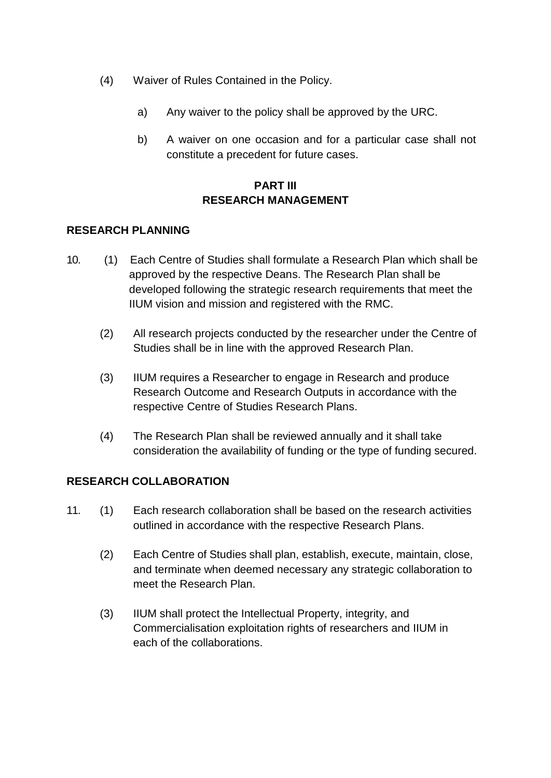- (4) Waiver of Rules Contained in the Policy.
	- a) Any waiver to the policy shall be approved by the URC.
	- b) A waiver on one occasion and for a particular case shall not constitute a precedent for future cases.

# **PART III RESEARCH MANAGEMENT**

#### **RESEARCH PLANNING**

- 10. (1) Each Centre of Studies shall formulate a Research Plan which shall be approved by the respective Deans. The Research Plan shall be developed following the strategic research requirements that meet the IIUM vision and mission and registered with the RMC.
	- (2) All research projects conducted by the researcher under the Centre of Studies shall be in line with the approved Research Plan.
	- (3) IIUM requires a Researcher to engage in Research and produce Research Outcome and Research Outputs in accordance with the respective Centre of Studies Research Plans.
	- (4) The Research Plan shall be reviewed annually and it shall take consideration the availability of funding or the type of funding secured.

### **RESEARCH COLLABORATION**

- 11. (1) Each research collaboration shall be based on the research activities outlined in accordance with the respective Research Plans.
	- (2) Each Centre of Studies shall plan, establish, execute, maintain, close, and terminate when deemed necessary any strategic collaboration to meet the Research Plan.
	- (3) IIUM shall protect the Intellectual Property, integrity, and Commercialisation exploitation rights of researchers and IIUM in each of the collaborations.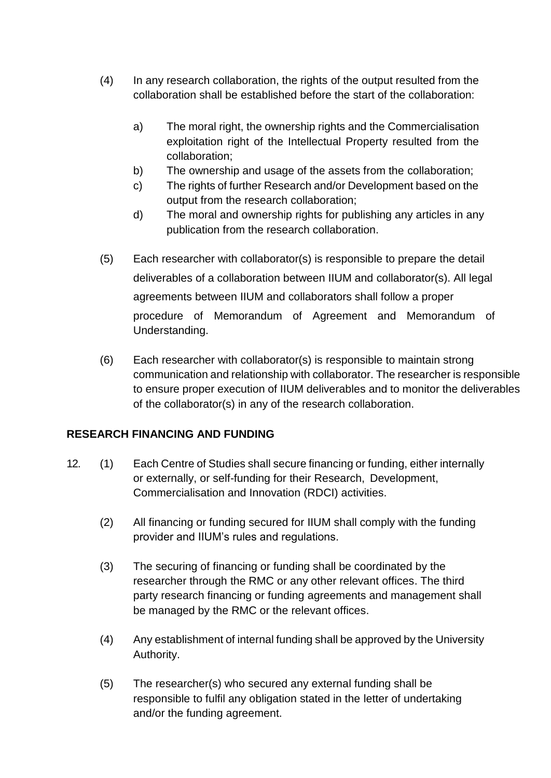- (4) In any research collaboration, the rights of the output resulted from the collaboration shall be established before the start of the collaboration:
	- a) The moral right, the ownership rights and the Commercialisation exploitation right of the Intellectual Property resulted from the collaboration;
	- b) The ownership and usage of the assets from the collaboration;
	- c) The rights of further Research and/or Development based on the output from the research collaboration;
	- d) The moral and ownership rights for publishing any articles in any publication from the research collaboration.
- (5) Each researcher with collaborator(s) is responsible to prepare the detail deliverables of a collaboration between IIUM and collaborator(s). All legal agreements between IIUM and collaborators shall follow a proper procedure of Memorandum of Agreement and Memorandum of Understanding.
- (6) Each researcher with collaborator(s) is responsible to maintain strong communication and relationship with collaborator. The researcher is responsible to ensure proper execution of IIUM deliverables and to monitor the deliverables of the collaborator(s) in any of the research collaboration.

### **RESEARCH FINANCING AND FUNDING**

- 12. (1) Each Centre of Studies shall secure financing or funding, either internally or externally, or self-funding for their Research, Development, Commercialisation and Innovation (RDCI) activities.
	- (2) All financing or funding secured for IIUM shall comply with the funding provider and IIUM's rules and regulations.
	- (3) The securing of financing or funding shall be coordinated by the researcher through the RMC or any other relevant offices. The third party research financing or funding agreements and management shall be managed by the RMC or the relevant offices.
	- (4) Any establishment of internal funding shall be approved by the University Authority.
	- (5) The researcher(s) who secured any external funding shall be responsible to fulfil any obligation stated in the letter of undertaking and/or the funding agreement.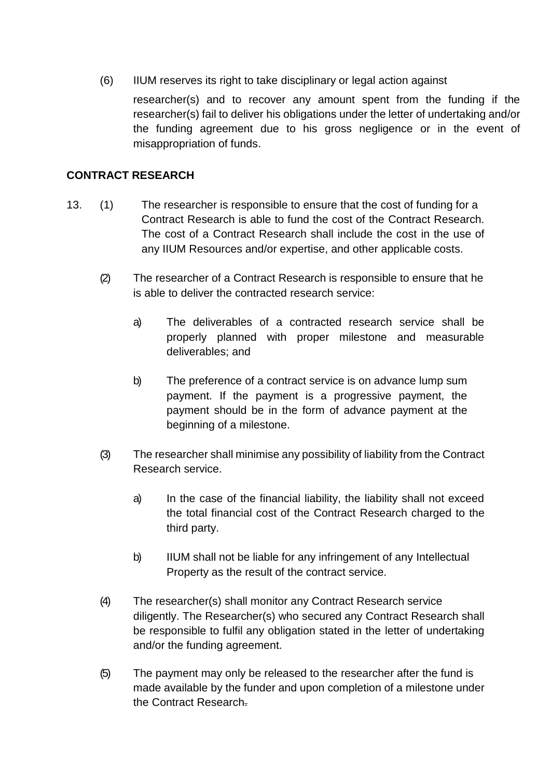(6) IIUM reserves its right to take disciplinary or legal action against

researcher(s) and to recover any amount spent from the funding if the researcher(s) fail to deliver his obligations under the letter of undertaking and/or the funding agreement due to his gross negligence or in the event of misappropriation of funds.

# **CONTRACT RESEARCH**

- 13. (1) The researcher is responsible to ensure that the cost of funding for a Contract Research is able to fund the cost of the Contract Research. The cost of a Contract Research shall include the cost in the use of any IIUM Resources and/or expertise, and other applicable costs.
	- (2) The researcher of a Contract Research is responsible to ensure that he is able to deliver the contracted research service:
		- a) The deliverables of a contracted research service shall be properly planned with proper milestone and measurable deliverables; and
		- b) The preference of a contract service is on advance lump sum payment. If the payment is a progressive payment, the payment should be in the form of advance payment at the beginning of a milestone.
	- (3) The researcher shall minimise any possibility of liability from the Contract Research service.
		- a) In the case of the financial liability, the liability shall not exceed the total financial cost of the Contract Research charged to the third party.
		- b) IIUM shall not be liable for any infringement of any Intellectual Property as the result of the contract service.
	- (4) The researcher(s) shall monitor any Contract Research service diligently. The Researcher(s) who secured any Contract Research shall be responsible to fulfil any obligation stated in the letter of undertaking and/or the funding agreement.
	- (5) The payment may only be released to the researcher after the fund is made available by the funder and upon completion of a milestone under the Contract Research.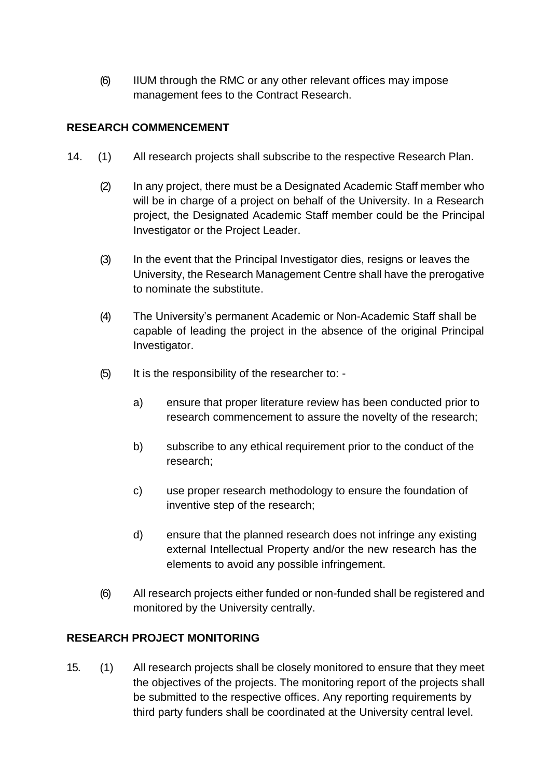(6) IIUM through the RMC or any other relevant offices may impose management fees to the Contract Research.

# **RESEARCH COMMENCEMENT**

- 14. (1) All research projects shall subscribe to the respective Research Plan.
	- (2) In any project, there must be a Designated Academic Staff member who will be in charge of a project on behalf of the University. In a Research project, the Designated Academic Staff member could be the Principal Investigator or the Project Leader.
	- (3) In the event that the Principal Investigator dies, resigns or leaves the University, the Research Management Centre shall have the prerogative to nominate the substitute.
	- (4) The University's permanent Academic or Non-Academic Staff shall be capable of leading the project in the absence of the original Principal Investigator.
	- (5) It is the responsibility of the researcher to:
		- a) ensure that proper literature review has been conducted prior to research commencement to assure the novelty of the research;
		- b) subscribe to any ethical requirement prior to the conduct of the research;
		- c) use proper research methodology to ensure the foundation of inventive step of the research;
		- d) ensure that the planned research does not infringe any existing external Intellectual Property and/or the new research has the elements to avoid any possible infringement.
	- (6) All research projects either funded or non-funded shall be registered and monitored by the University centrally.

### **RESEARCH PROJECT MONITORING**

15. (1) All research projects shall be closely monitored to ensure that they meet the objectives of the projects. The monitoring report of the projects shall be submitted to the respective offices. Any reporting requirements by third party funders shall be coordinated at the University central level.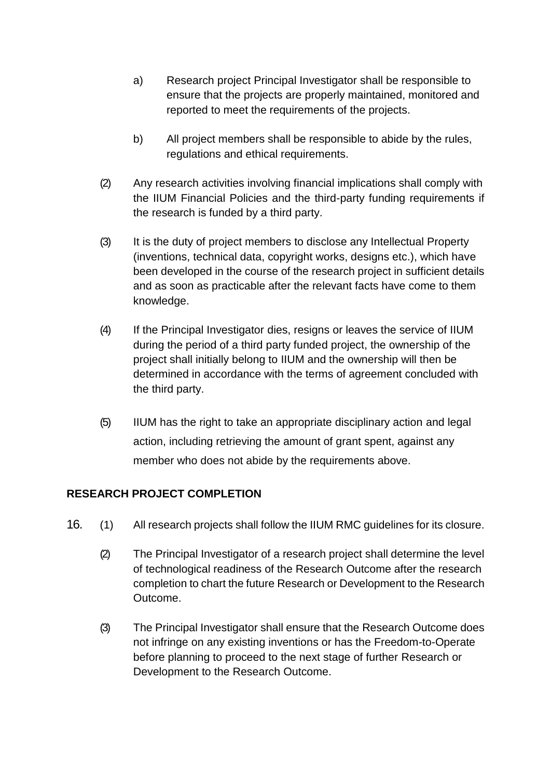- a) Research project Principal Investigator shall be responsible to ensure that the projects are properly maintained, monitored and reported to meet the requirements of the projects.
- b) All project members shall be responsible to abide by the rules, regulations and ethical requirements.
- (2) Any research activities involving financial implications shall comply with the IIUM Financial Policies and the third-party funding requirements if the research is funded by a third party.
- (3) It is the duty of project members to disclose any Intellectual Property (inventions, technical data, copyright works, designs etc.), which have been developed in the course of the research project in sufficient details and as soon as practicable after the relevant facts have come to them knowledge.
- (4) If the Principal Investigator dies, resigns or leaves the service of IIUM during the period of a third party funded project, the ownership of the project shall initially belong to IIUM and the ownership will then be determined in accordance with the terms of agreement concluded with the third party.
- (5) IIUM has the right to take an appropriate disciplinary action and legal action, including retrieving the amount of grant spent, against any member who does not abide by the requirements above.

### **RESEARCH PROJECT COMPLETION**

- 16. (1) All research projects shall follow the IIUM RMC guidelines for its closure.
	- (2) The Principal Investigator of a research project shall determine the level of technological readiness of the Research Outcome after the research completion to chart the future Research or Development to the Research Outcome.
	- (3) The Principal Investigator shall ensure that the Research Outcome does not infringe on any existing inventions or has the Freedom-to-Operate before planning to proceed to the next stage of further Research or Development to the Research Outcome.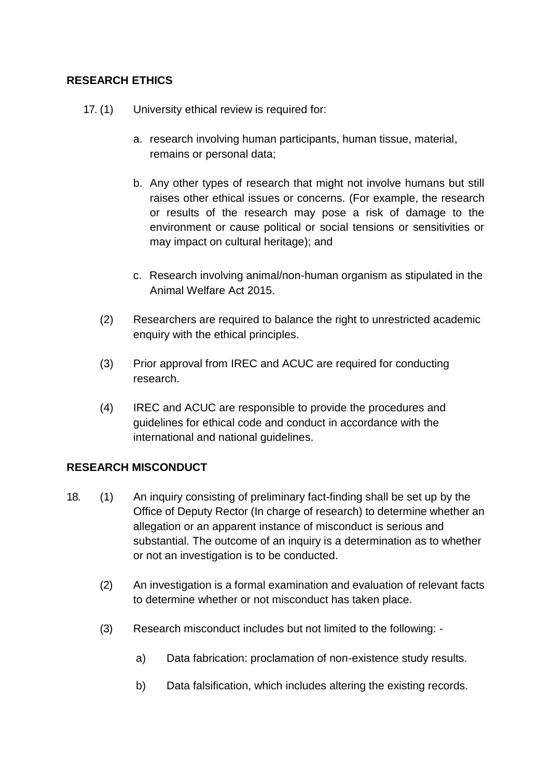# **RESEARCH ETHICS**

- 17. (1) University ethical review is required for:
	- a. research involving human participants, human tissue, material, remains or personal data;
	- b. Any other types of research that might not involve humans but still raises other ethical issues or concerns. (For example, the research or results of the research may pose a risk of damage to the environment or cause political or social tensions or sensitivities or may impact on cultural heritage); and
	- c. Research involving animal/non-human organism as stipulated in the Animal Welfare Act 2015.
	- (2) Researchers are required to balance the right to unrestricted academic enquiry with the ethical principles.
	- (3) Prior approval from IREC and ACUC are required for conducting research.
	- (4) IREC and ACUC are responsible to provide the procedures and guidelines for ethical code and conduct in accordance with the international and national guidelines.

### **RESEARCH MISCONDUCT**

- 18. (1) An inquiry consisting of preliminary fact-finding shall be set up by the Office of Deputy Rector (In charge of research) to determine whether an allegation or an apparent instance of misconduct is serious and substantial. The outcome of an inquiry is a determination as to whether or not an investigation is to be conducted.
	- (2) An investigation is a formal examination and evaluation of relevant facts to determine whether or not misconduct has taken place.
	- (3) Research misconduct includes but not limited to the following:
		- a) Data fabrication: proclamation of non-existence study results.
		- b) Data falsification, which includes altering the existing records.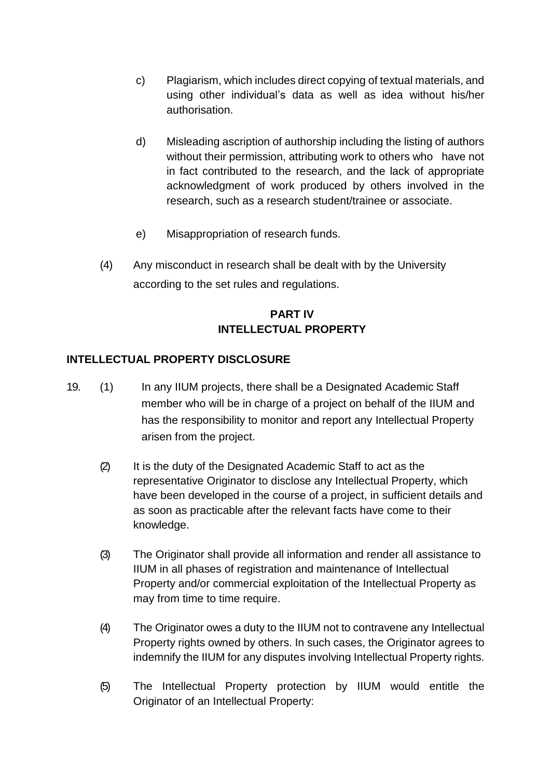- c) Plagiarism, which includes direct copying of textual materials, and using other individual's data as well as idea without his/her authorisation.
- d) Misleading ascription of authorship including the listing of authors without their permission, attributing work to others who have not in fact contributed to the research, and the lack of appropriate acknowledgment of work produced by others involved in the research, such as a research student/trainee or associate.
- e) Misappropriation of research funds.
- (4) Any misconduct in research shall be dealt with by the University according to the set rules and regulations.

# **PART IV INTELLECTUAL PROPERTY**

### **INTELLECTUAL PROPERTY DISCLOSURE**

- 19. (1) In any IIUM projects, there shall be a Designated Academic Staff member who will be in charge of a project on behalf of the IIUM and has the responsibility to monitor and report any Intellectual Property arisen from the project.
	- (2) It is the duty of the Designated Academic Staff to act as the representative Originator to disclose any Intellectual Property, which have been developed in the course of a project, in sufficient details and as soon as practicable after the relevant facts have come to their knowledge.
	- (3) The Originator shall provide all information and render all assistance to IIUM in all phases of registration and maintenance of Intellectual Property and/or commercial exploitation of the Intellectual Property as may from time to time require.
	- (4) The Originator owes a duty to the IIUM not to contravene any Intellectual Property rights owned by others. In such cases, the Originator agrees to indemnify the IIUM for any disputes involving Intellectual Property rights.
	- (5) The Intellectual Property protection by IIUM would entitle the Originator of an Intellectual Property: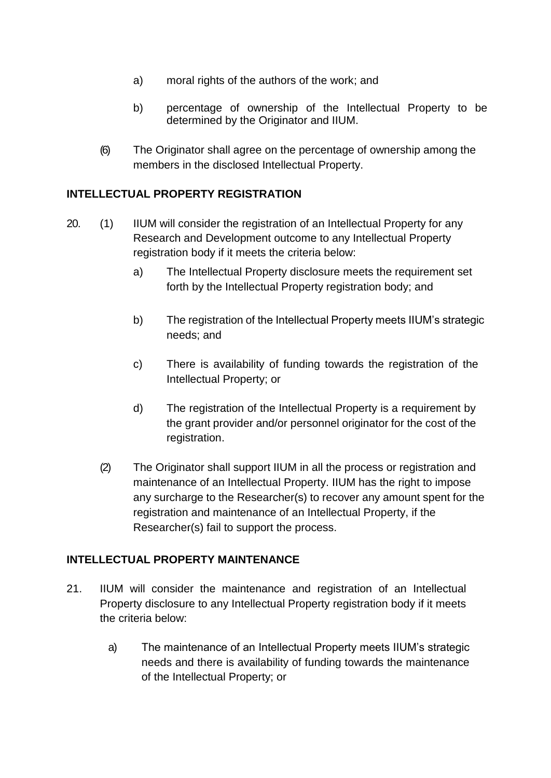- a) moral rights of the authors of the work; and
- b) percentage of ownership of the Intellectual Property to be determined by the Originator and IIUM.
- (6) The Originator shall agree on the percentage of ownership among the members in the disclosed Intellectual Property.

#### **INTELLECTUAL PROPERTY REGISTRATION**

- 20. (1) IIUM will consider the registration of an Intellectual Property for any Research and Development outcome to any Intellectual Property registration body if it meets the criteria below:
	- a) The Intellectual Property disclosure meets the requirement set forth by the Intellectual Property registration body; and
	- b) The registration of the Intellectual Property meets IIUM's strategic needs; and
	- c) There is availability of funding towards the registration of the Intellectual Property; or
	- d) The registration of the Intellectual Property is a requirement by the grant provider and/or personnel originator for the cost of the registration.
	- (2) The Originator shall support IIUM in all the process or registration and maintenance of an Intellectual Property. IIUM has the right to impose any surcharge to the Researcher(s) to recover any amount spent for the registration and maintenance of an Intellectual Property, if the Researcher(s) fail to support the process.

### **INTELLECTUAL PROPERTY MAINTENANCE**

- 21. IIUM will consider the maintenance and registration of an Intellectual Property disclosure to any Intellectual Property registration body if it meets the criteria below:
	- a) The maintenance of an Intellectual Property meets IIUM's strategic needs and there is availability of funding towards the maintenance of the Intellectual Property; or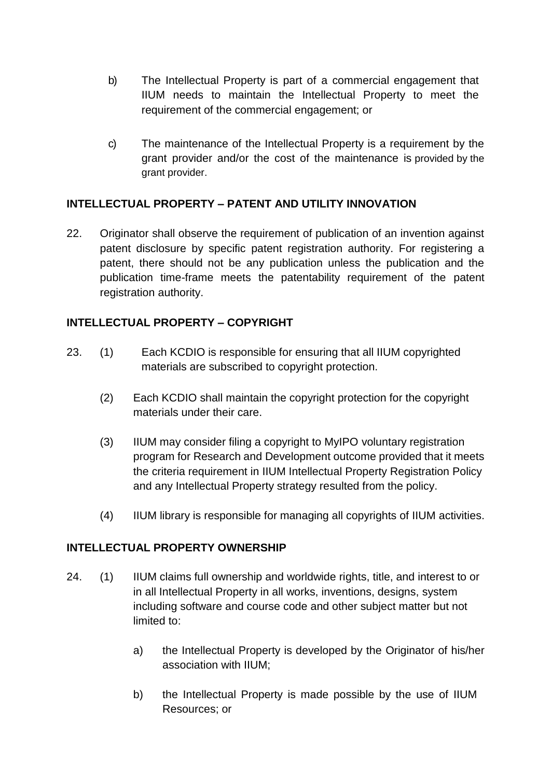- b) The Intellectual Property is part of a commercial engagement that IIUM needs to maintain the Intellectual Property to meet the requirement of the commercial engagement; or
- c) The maintenance of the Intellectual Property is a requirement by the grant provider and/or the cost of the maintenance is provided by the grant provider.

### **INTELLECTUAL PROPERTY – PATENT AND UTILITY INNOVATION**

22. Originator shall observe the requirement of publication of an invention against patent disclosure by specific patent registration authority. For registering a patent, there should not be any publication unless the publication and the publication time-frame meets the patentability requirement of the patent registration authority.

### **INTELLECTUAL PROPERTY – COPYRIGHT**

- 23. (1) Each KCDIO is responsible for ensuring that all IIUM copyrighted materials are subscribed to copyright protection.
	- (2) Each KCDIO shall maintain the copyright protection for the copyright materials under their care.
	- (3) IIUM may consider filing a copyright to MyIPO voluntary registration program for Research and Development outcome provided that it meets the criteria requirement in IIUM Intellectual Property Registration Policy and any Intellectual Property strategy resulted from the policy.
	- (4) IIUM library is responsible for managing all copyrights of IIUM activities.

### **INTELLECTUAL PROPERTY OWNERSHIP**

- 24. (1) IIUM claims full ownership and worldwide rights, title, and interest to or in all Intellectual Property in all works, inventions, designs, system including software and course code and other subject matter but not limited to:
	- a) the Intellectual Property is developed by the Originator of his/her association with IIUM;
	- b) the Intellectual Property is made possible by the use of IIUM Resources; or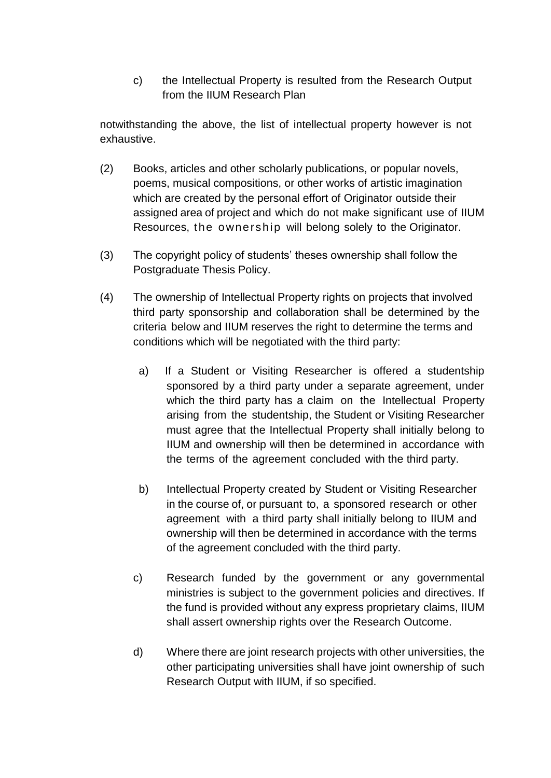c) the Intellectual Property is resulted from the Research Output from the IIUM Research Plan

notwithstanding the above, the list of intellectual property however is not exhaustive.

- (2) Books, articles and other scholarly publications, or popular novels, poems, musical compositions, or other works of artistic imagination which are created by the personal effort of Originator outside their assigned area of project and which do not make significant use of IIUM Resources, the ownership will belong solely to the Originator.
- (3) The copyright policy of students' theses ownership shall follow the Postgraduate Thesis Policy.
- (4) The ownership of Intellectual Property rights on projects that involved third party sponsorship and collaboration shall be determined by the criteria below and IIUM reserves the right to determine the terms and conditions which will be negotiated with the third party:
	- a) If a Student or Visiting Researcher is offered a studentship sponsored by a third party under a separate agreement, under which the third party has a claim on the Intellectual Property arising from the studentship, the Student or Visiting Researcher must agree that the Intellectual Property shall initially belong to IIUM and ownership will then be determined in accordance with the terms of the agreement concluded with the third party.
	- b) Intellectual Property created by Student or Visiting Researcher in the course of, or pursuant to, a sponsored research or other agreement with a third party shall initially belong to IIUM and ownership will then be determined in accordance with the terms of the agreement concluded with the third party.
	- c) Research funded by the government or any governmental ministries is subject to the government policies and directives. If the fund is provided without any express proprietary claims, IIUM shall assert ownership rights over the Research Outcome.
	- d) Where there are joint research projects with other universities, the other participating universities shall have joint ownership of such Research Output with IIUM, if so specified.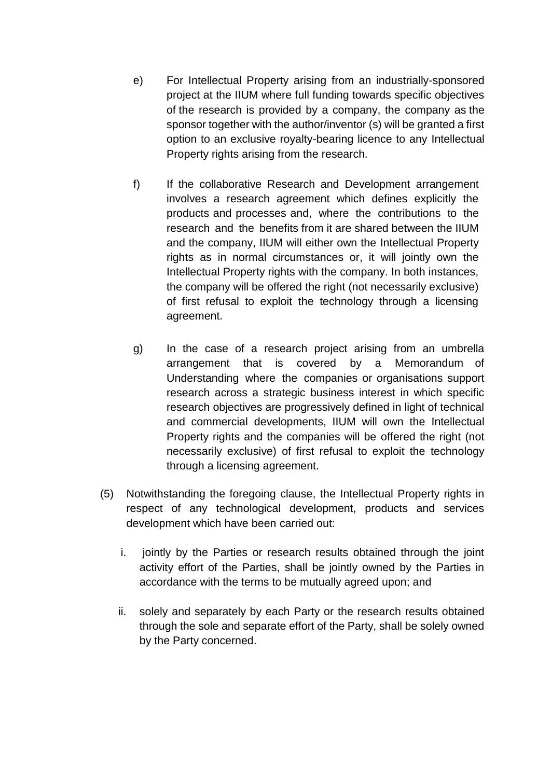- e) For Intellectual Property arising from an industrially-sponsored project at the IIUM where full funding towards specific objectives of the research is provided by a company, the company as the sponsor together with the author/inventor (s) will be granted a first option to an exclusive royalty-bearing licence to any Intellectual Property rights arising from the research.
- f) If the collaborative Research and Development arrangement involves a research agreement which defines explicitly the products and processes and, where the contributions to the research and the benefits from it are shared between the IIUM and the company, IIUM will either own the Intellectual Property rights as in normal circumstances or, it will jointly own the Intellectual Property rights with the company. In both instances, the company will be offered the right (not necessarily exclusive) of first refusal to exploit the technology through a licensing agreement.
- g) In the case of a research project arising from an umbrella arrangement that is covered by a Memorandum of Understanding where the companies or organisations support research across a strategic business interest in which specific research objectives are progressively defined in light of technical and commercial developments, IIUM will own the Intellectual Property rights and the companies will be offered the right (not necessarily exclusive) of first refusal to exploit the technology through a licensing agreement.
- (5) Notwithstanding the foregoing clause, the Intellectual Property rights in respect of any technological development, products and services development which have been carried out:
	- i. jointly by the Parties or research results obtained through the joint activity effort of the Parties, shall be jointly owned by the Parties in accordance with the terms to be mutually agreed upon; and
	- ii. solely and separately by each Party or the research results obtained through the sole and separate effort of the Party, shall be solely owned by the Party concerned.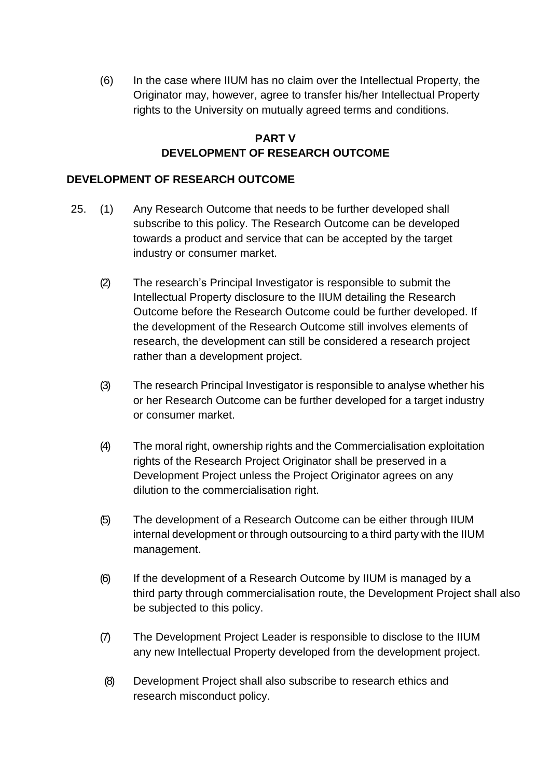(6) In the case where IIUM has no claim over the Intellectual Property, the Originator may, however, agree to transfer his/her Intellectual Property rights to the University on mutually agreed terms and conditions.

# **PART V DEVELOPMENT OF RESEARCH OUTCOME**

#### **DEVELOPMENT OF RESEARCH OUTCOME**

- 25. (1) Any Research Outcome that needs to be further developed shall subscribe to this policy. The Research Outcome can be developed towards a product and service that can be accepted by the target industry or consumer market.
	- (2) The research's Principal Investigator is responsible to submit the Intellectual Property disclosure to the IIUM detailing the Research Outcome before the Research Outcome could be further developed. If the development of the Research Outcome still involves elements of research, the development can still be considered a research project rather than a development project.
	- (3) The research Principal Investigator is responsible to analyse whether his or her Research Outcome can be further developed for a target industry or consumer market.
	- (4) The moral right, ownership rights and the Commercialisation exploitation rights of the Research Project Originator shall be preserved in a Development Project unless the Project Originator agrees on any dilution to the commercialisation right.
	- (5) The development of a Research Outcome can be either through IIUM internal development or through outsourcing to a third party with the IIUM management.
	- (6) If the development of a Research Outcome by IIUM is managed by a third party through commercialisation route, the Development Project shall also be subjected to this policy.
	- (7) The Development Project Leader is responsible to disclose to the IIUM any new Intellectual Property developed from the development project.
	- (8) Development Project shall also subscribe to research ethics and research misconduct policy.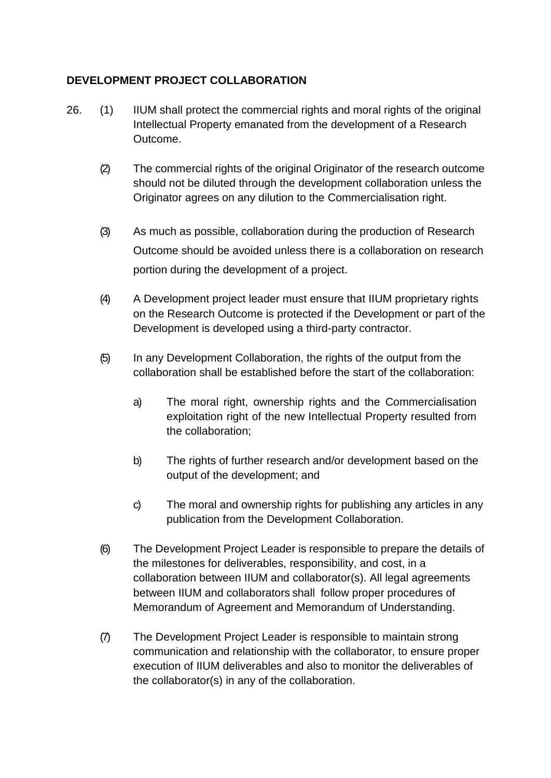# **DEVELOPMENT PROJECT COLLABORATION**

- 26. (1) IIUM shall protect the commercial rights and moral rights of the original Intellectual Property emanated from the development of a Research Outcome.
	- (2) The commercial rights of the original Originator of the research outcome should not be diluted through the development collaboration unless the Originator agrees on any dilution to the Commercialisation right.
	- (3) As much as possible, collaboration during the production of Research Outcome should be avoided unless there is a collaboration on research portion during the development of a project.
	- (4) A Development project leader must ensure that IIUM proprietary rights on the Research Outcome is protected if the Development or part of the Development is developed using a third-party contractor.
	- (5) In any Development Collaboration, the rights of the output from the collaboration shall be established before the start of the collaboration:
		- a) The moral right, ownership rights and the Commercialisation exploitation right of the new Intellectual Property resulted from the collaboration;
		- b) The rights of further research and/or development based on the output of the development; and
		- c) The moral and ownership rights for publishing any articles in any publication from the Development Collaboration.
	- (6) The Development Project Leader is responsible to prepare the details of the milestones for deliverables, responsibility, and cost, in a collaboration between IIUM and collaborator(s). All legal agreements between IIUM and collaborators shall follow proper procedures of Memorandum of Agreement and Memorandum of Understanding.
	- (7) The Development Project Leader is responsible to maintain strong communication and relationship with the collaborator, to ensure proper execution of IIUM deliverables and also to monitor the deliverables of the collaborator(s) in any of the collaboration.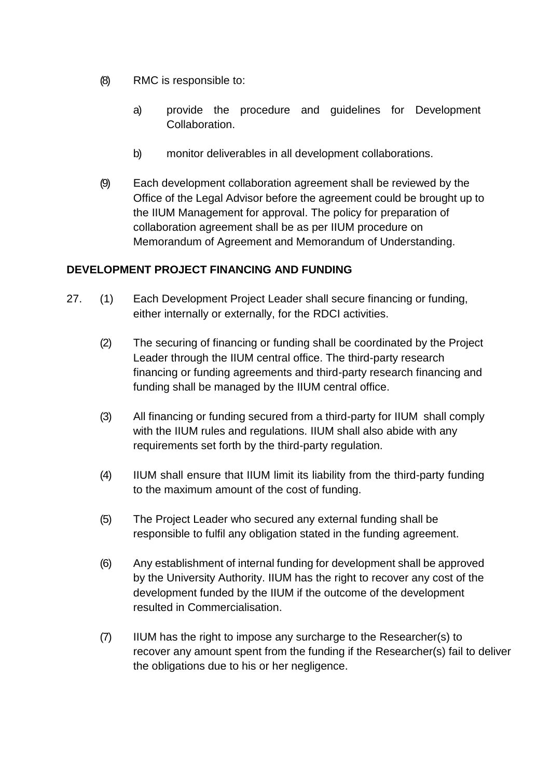- (8) RMC is responsible to:
	- a) provide the procedure and guidelines for Development Collaboration.
	- b) monitor deliverables in all development collaborations.
- (9) Each development collaboration agreement shall be reviewed by the Office of the Legal Advisor before the agreement could be brought up to the IIUM Management for approval. The policy for preparation of collaboration agreement shall be as per IIUM procedure on Memorandum of Agreement and Memorandum of Understanding.

### **DEVELOPMENT PROJECT FINANCING AND FUNDING**

- 27. (1) Each Development Project Leader shall secure financing or funding, either internally or externally, for the RDCI activities.
	- (2) The securing of financing or funding shall be coordinated by the Project Leader through the IIUM central office. The third-party research financing or funding agreements and third-party research financing and funding shall be managed by the IIUM central office.
	- (3) All financing or funding secured from a third-party for IIUM shall comply with the IIUM rules and regulations. IIUM shall also abide with any requirements set forth by the third-party regulation.
	- (4) IIUM shall ensure that IIUM limit its liability from the third-party funding to the maximum amount of the cost of funding.
	- (5) The Project Leader who secured any external funding shall be responsible to fulfil any obligation stated in the funding agreement.
	- (6) Any establishment of internal funding for development shall be approved by the University Authority. IIUM has the right to recover any cost of the development funded by the IIUM if the outcome of the development resulted in Commercialisation.
	- (7) IIUM has the right to impose any surcharge to the Researcher(s) to recover any amount spent from the funding if the Researcher(s) fail to deliver the obligations due to his or her negligence.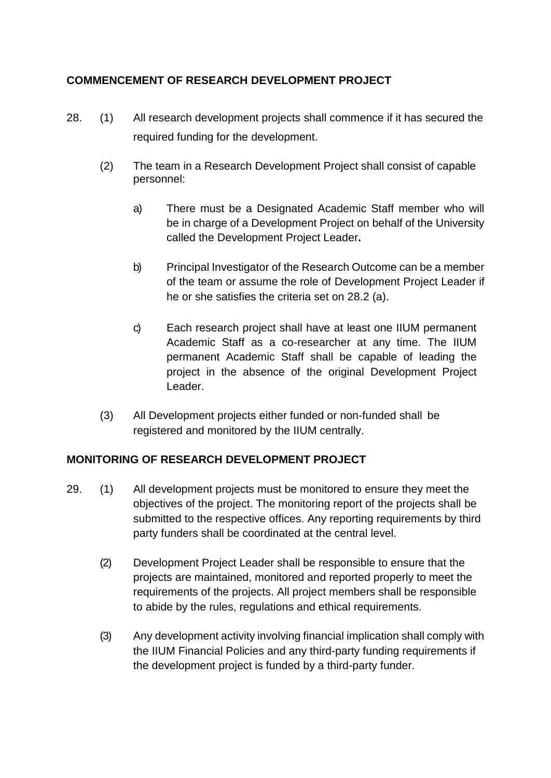# **COMMENCEMENT OF RESEARCH DEVELOPMENT PROJECT**

- 28. (1) All research development projects shall commence if it has secured the required funding for the development.
	- (2) The team in a Research Development Project shall consist of capable personnel:
		- a) There must be a Designated Academic Staff member who will be in charge of a Development Project on behalf of the University called the Development Project Leader**.**
		- b) Principal Investigator of the Research Outcome can be a member of the team or assume the role of Development Project Leader if he or she satisfies the criteria set on 28.2 (a).
		- c) Each research project shall have at least one IIUM permanent Academic Staff as a co-researcher at any time. The IIUM permanent Academic Staff shall be capable of leading the project in the absence of the original Development Project Leader.
	- (3) All Development projects either funded or non-funded shall be registered and monitored by the IIUM centrally.

### **MONITORING OF RESEARCH DEVELOPMENT PROJECT**

- 29. (1) All development projects must be monitored to ensure they meet the objectives of the project. The monitoring report of the projects shall be submitted to the respective offices. Any reporting requirements by third party funders shall be coordinated at the central level.
	- (2) Development Project Leader shall be responsible to ensure that the projects are maintained, monitored and reported properly to meet the requirements of the projects. All project members shall be responsible to abide by the rules, regulations and ethical requirements.
	- (3) Any development activity involving financial implication shall comply with the IIUM Financial Policies and any third-party funding requirements if the development project is funded by a third-party funder.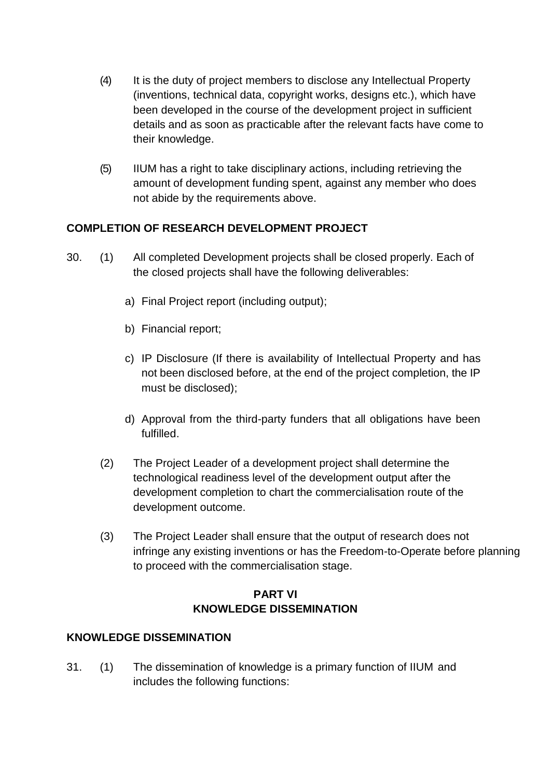- (4) It is the duty of project members to disclose any Intellectual Property (inventions, technical data, copyright works, designs etc.), which have been developed in the course of the development project in sufficient details and as soon as practicable after the relevant facts have come to their knowledge.
- (5) IIUM has a right to take disciplinary actions, including retrieving the amount of development funding spent, against any member who does not abide by the requirements above.

### **COMPLETION OF RESEARCH DEVELOPMENT PROJECT**

- 30. (1) All completed Development projects shall be closed properly. Each of the closed projects shall have the following deliverables:
	- a) Final Project report (including output);
	- b) Financial report;
	- c) IP Disclosure (If there is availability of Intellectual Property and has not been disclosed before, at the end of the project completion, the IP must be disclosed);
	- d) Approval from the third-party funders that all obligations have been fulfilled.
	- (2) The Project Leader of a development project shall determine the technological readiness level of the development output after the development completion to chart the commercialisation route of the development outcome.
	- (3) The Project Leader shall ensure that the output of research does not infringe any existing inventions or has the Freedom-to-Operate before planning to proceed with the commercialisation stage.

# **PART VI KNOWLEDGE DISSEMINATION**

### **KNOWLEDGE DISSEMINATION**

31. (1) The dissemination of knowledge is a primary function of IIUM and includes the following functions: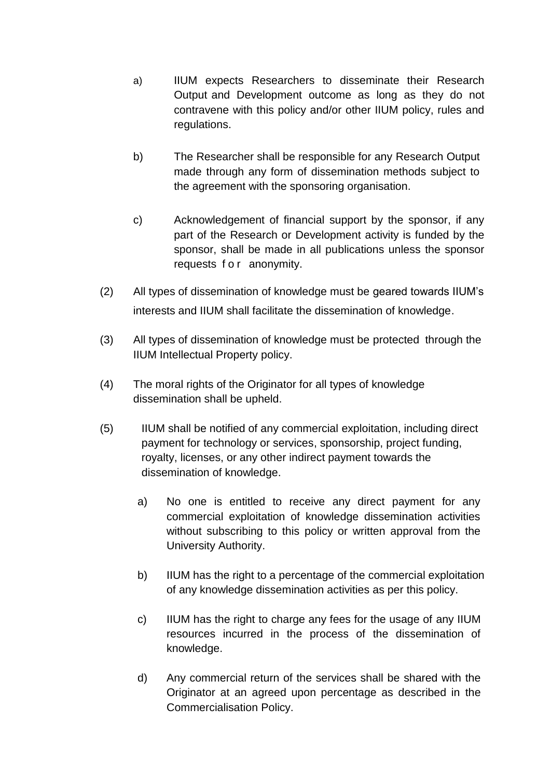- a) IIUM expects Researchers to disseminate their Research Output and Development outcome as long as they do not contravene with this policy and/or other IIUM policy, rules and regulations.
- b) The Researcher shall be responsible for any Research Output made through any form of dissemination methods subject to the agreement with the sponsoring organisation.
- c) Acknowledgement of financial support by the sponsor, if any part of the Research or Development activity is funded by the sponsor, shall be made in all publications unless the sponsor requests for anonymity.
- (2) All types of dissemination of knowledge must be geared towards IIUM's interests and IIUM shall facilitate the dissemination of knowledge.
- (3) All types of dissemination of knowledge must be protected through the IIUM Intellectual Property policy.
- (4) The moral rights of the Originator for all types of knowledge dissemination shall be upheld.
- (5) IIUM shall be notified of any commercial exploitation, including direct payment for technology or services, sponsorship, project funding, royalty, licenses, or any other indirect payment towards the dissemination of knowledge.
	- a) No one is entitled to receive any direct payment for any commercial exploitation of knowledge dissemination activities without subscribing to this policy or written approval from the University Authority.
	- b) IIUM has the right to a percentage of the commercial exploitation of any knowledge dissemination activities as per this policy.
	- c) IIUM has the right to charge any fees for the usage of any IIUM resources incurred in the process of the dissemination of knowledge.
	- d) Any commercial return of the services shall be shared with the Originator at an agreed upon percentage as described in the Commercialisation Policy.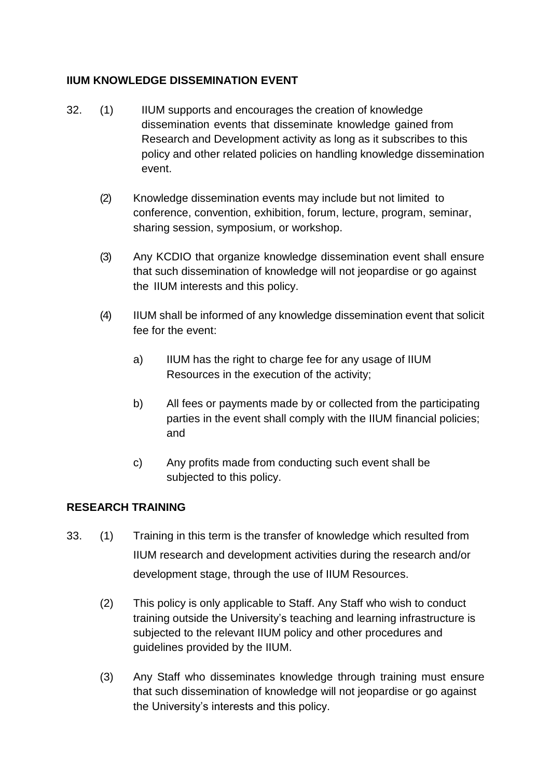# **IIUM KNOWLEDGE DISSEMINATION EVENT**

- 32. (1) IIUM supports and encourages the creation of knowledge dissemination events that disseminate knowledge gained from Research and Development activity as long as it subscribes to this policy and other related policies on handling knowledge dissemination event.
	- (2) Knowledge dissemination events may include but not limited to conference, convention, exhibition, forum, lecture, program, seminar, sharing session, symposium, or workshop.
	- (3) Any KCDIO that organize knowledge dissemination event shall ensure that such dissemination of knowledge will not jeopardise or go against the IIUM interests and this policy.
	- (4) IIUM shall be informed of any knowledge dissemination event that solicit fee for the event:
		- a) IIUM has the right to charge fee for any usage of IIUM Resources in the execution of the activity;
		- b) All fees or payments made by or collected from the participating parties in the event shall comply with the IIUM financial policies; and
		- c) Any profits made from conducting such event shall be subjected to this policy.

### **RESEARCH TRAINING**

- 33. (1) Training in this term is the transfer of knowledge which resulted from IIUM research and development activities during the research and/or development stage, through the use of IIUM Resources.
	- (2) This policy is only applicable to Staff. Any Staff who wish to conduct training outside the University's teaching and learning infrastructure is subjected to the relevant IIUM policy and other procedures and guidelines provided by the IIUM.
	- (3) Any Staff who disseminates knowledge through training must ensure that such dissemination of knowledge will not jeopardise or go against the University's interests and this policy.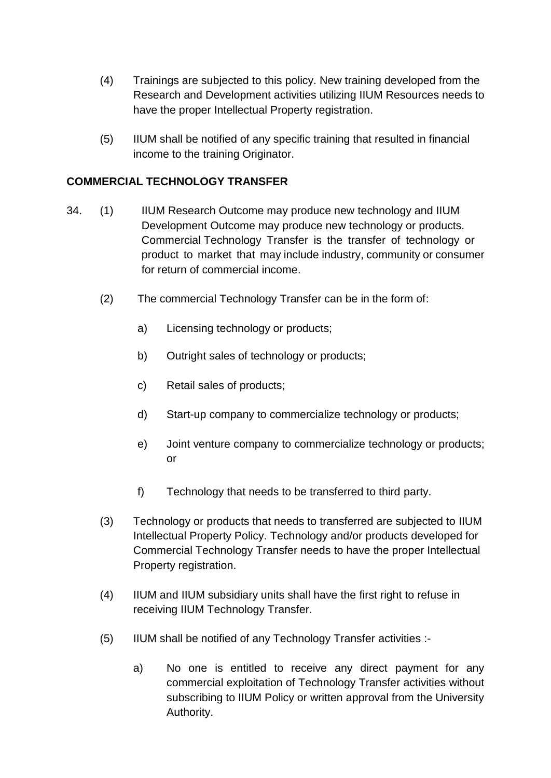- (4) Trainings are subjected to this policy. New training developed from the Research and Development activities utilizing IIUM Resources needs to have the proper Intellectual Property registration.
- (5) IIUM shall be notified of any specific training that resulted in financial income to the training Originator.

#### **COMMERCIAL TECHNOLOGY TRANSFER**

- 34. (1) IIUM Research Outcome may produce new technology and IIUM Development Outcome may produce new technology or products. Commercial Technology Transfer is the transfer of technology or product to market that may include industry, community or consumer for return of commercial income.
	- (2) The commercial Technology Transfer can be in the form of:
		- a) Licensing technology or products;
		- b) Outright sales of technology or products;
		- c) Retail sales of products;
		- d) Start-up company to commercialize technology or products;
		- e) Joint venture company to commercialize technology or products; or
		- f) Technology that needs to be transferred to third party.
	- (3) Technology or products that needs to transferred are subjected to IIUM Intellectual Property Policy. Technology and/or products developed for Commercial Technology Transfer needs to have the proper Intellectual Property registration.
	- (4) IIUM and IIUM subsidiary units shall have the first right to refuse in receiving IIUM Technology Transfer.
	- (5) IIUM shall be notified of any Technology Transfer activities :
		- a) No one is entitled to receive any direct payment for any commercial exploitation of Technology Transfer activities without subscribing to IIUM Policy or written approval from the University Authority.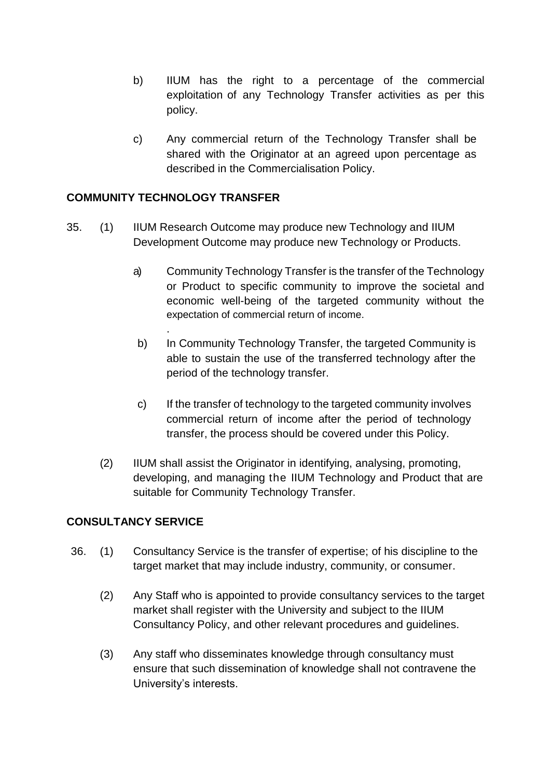- b) IIUM has the right to a percentage of the commercial exploitation of any Technology Transfer activities as per this policy.
- c) Any commercial return of the Technology Transfer shall be shared with the Originator at an agreed upon percentage as described in the Commercialisation Policy.

#### **COMMUNITY TECHNOLOGY TRANSFER**

.

- 35. (1) IIUM Research Outcome may produce new Technology and IIUM Development Outcome may produce new Technology or Products.
	- a) Community Technology Transfer is the transfer of the Technology or Product to specific community to improve the societal and economic well-being of the targeted community without the expectation of commercial return of income.
	- b) In Community Technology Transfer, the targeted Community is able to sustain the use of the transferred technology after the period of the technology transfer.
	- c) If the transfer of technology to the targeted community involves commercial return of income after the period of technology transfer, the process should be covered under this Policy.
	- (2) IIUM shall assist the Originator in identifying, analysing, promoting, developing, and managing the IIUM Technology and Product that are suitable for Community Technology Transfer.

### **CONSULTANCY SERVICE**

- 36. (1) Consultancy Service is the transfer of expertise; of his discipline to the target market that may include industry, community, or consumer.
	- (2) Any Staff who is appointed to provide consultancy services to the target market shall register with the University and subject to the IIUM Consultancy Policy, and other relevant procedures and guidelines.
	- (3) Any staff who disseminates knowledge through consultancy must ensure that such dissemination of knowledge shall not contravene the University's interests.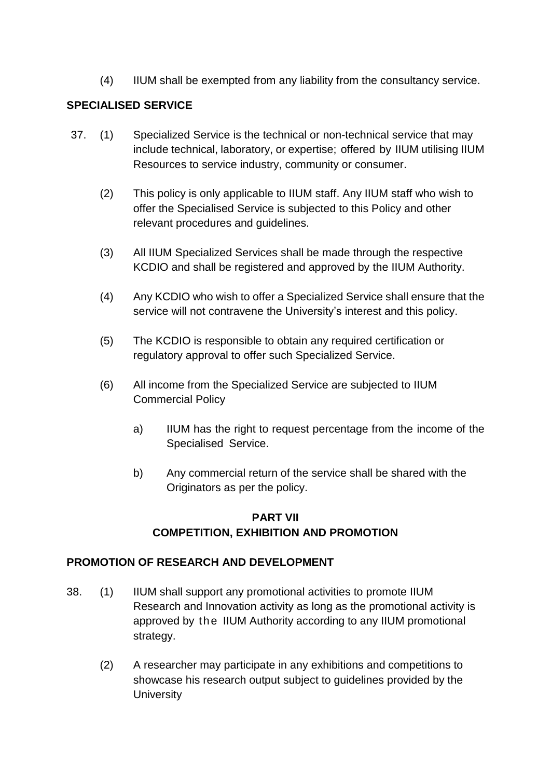(4) IIUM shall be exempted from any liability from the consultancy service.

# **SPECIALISED SERVICE**

- 37. (1) Specialized Service is the technical or non-technical service that may include technical, laboratory, or expertise; offered by IIUM utilising IIUM Resources to service industry, community or consumer.
	- (2) This policy is only applicable to IIUM staff. Any IIUM staff who wish to offer the Specialised Service is subjected to this Policy and other relevant procedures and guidelines.
	- (3) All IIUM Specialized Services shall be made through the respective KCDIO and shall be registered and approved by the IIUM Authority.
	- (4) Any KCDIO who wish to offer a Specialized Service shall ensure that the service will not contravene the University's interest and this policy.
	- (5) The KCDIO is responsible to obtain any required certification or regulatory approval to offer such Specialized Service.
	- (6) All income from the Specialized Service are subjected to IIUM Commercial Policy
		- a) IIUM has the right to request percentage from the income of the Specialised Service.
		- b) Any commercial return of the service shall be shared with the Originators as per the policy.

# **PART VII COMPETITION, EXHIBITION AND PROMOTION**

### **PROMOTION OF RESEARCH AND DEVELOPMENT**

- 38. (1) IIUM shall support any promotional activities to promote IIUM Research and Innovation activity as long as the promotional activity is approved by the IIUM Authority according to any IIUM promotional strategy.
	- (2) A researcher may participate in any exhibitions and competitions to showcase his research output subject to guidelines provided by the **University**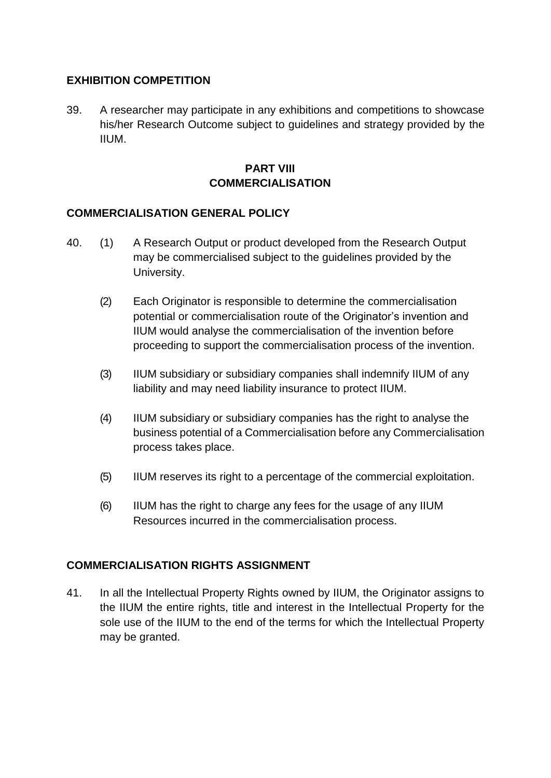### **EXHIBITION COMPETITION**

39. A researcher may participate in any exhibitions and competitions to showcase his/her Research Outcome subject to guidelines and strategy provided by the IIUM.

# **PART VIII COMMERCIALISATION**

#### **COMMERCIALISATION GENERAL POLICY**

- 40. (1) A Research Output or product developed from the Research Output may be commercialised subject to the guidelines provided by the University.
	- (2) Each Originator is responsible to determine the commercialisation potential or commercialisation route of the Originator's invention and IIUM would analyse the commercialisation of the invention before proceeding to support the commercialisation process of the invention.
	- (3) IIUM subsidiary or subsidiary companies shall indemnify IIUM of any liability and may need liability insurance to protect IIUM.
	- (4) IIUM subsidiary or subsidiary companies has the right to analyse the business potential of a Commercialisation before any Commercialisation process takes place.
	- (5) IIUM reserves its right to a percentage of the commercial exploitation.
	- (6) IIUM has the right to charge any fees for the usage of any IIUM Resources incurred in the commercialisation process.

### **COMMERCIALISATION RIGHTS ASSIGNMENT**

41. In all the Intellectual Property Rights owned by IIUM, the Originator assigns to the IIUM the entire rights, title and interest in the Intellectual Property for the sole use of the IIUM to the end of the terms for which the Intellectual Property may be granted.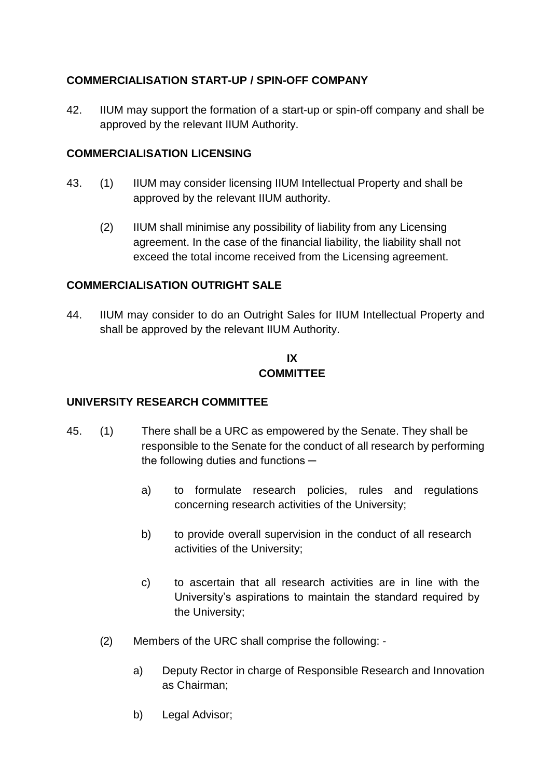# **COMMERCIALISATION START-UP / SPIN-OFF COMPANY**

42. IIUM may support the formation of a start-up or spin-off company and shall be approved by the relevant IIUM Authority.

#### **COMMERCIALISATION LICENSING**

- 43. (1) IIUM may consider licensing IIUM Intellectual Property and shall be approved by the relevant IIUM authority.
	- (2) IIUM shall minimise any possibility of liability from any Licensing agreement. In the case of the financial liability, the liability shall not exceed the total income received from the Licensing agreement.

### **COMMERCIALISATION OUTRIGHT SALE**

44. IIUM may consider to do an Outright Sales for IIUM Intellectual Property and shall be approved by the relevant IIUM Authority.

#### **IX COMMITTEE**

#### **UNIVERSITY RESEARCH COMMITTEE**

- 45. (1) There shall be a URC as empowered by the Senate. They shall be responsible to the Senate for the conduct of all research by performing the following duties and functions  $$ 
	- a) to formulate research policies, rules and regulations concerning research activities of the University;
	- b) to provide overall supervision in the conduct of all research activities of the University;
	- c) to ascertain that all research activities are in line with the University's aspirations to maintain the standard required by the University;
	- (2) Members of the URC shall comprise the following:
		- a) Deputy Rector in charge of Responsible Research and Innovation as Chairman;
		- b) Legal Advisor;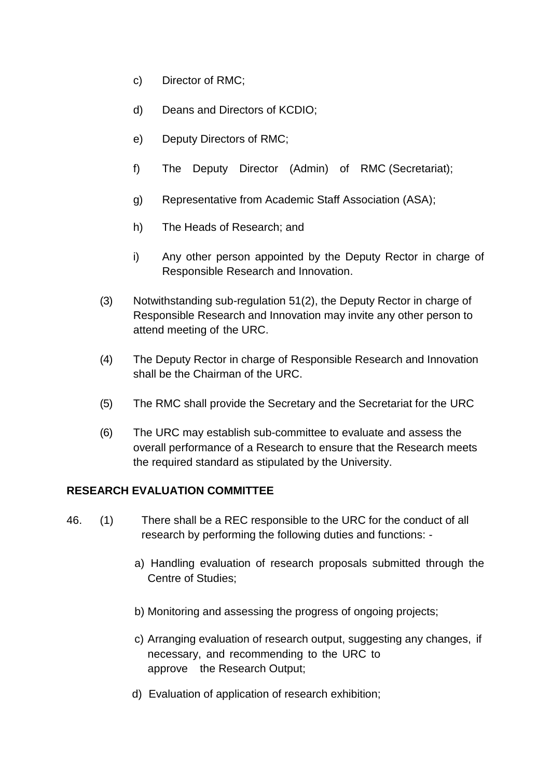- c) Director of RMC;
- d) Deans and Directors of KCDIO;
- e) Deputy Directors of RMC;
- f) The Deputy Director (Admin) of RMC (Secretariat);
- g) Representative from Academic Staff Association (ASA);
- h) The Heads of Research; and
- i) Any other person appointed by the Deputy Rector in charge of Responsible Research and Innovation.
- (3) Notwithstanding sub-regulation 51(2), the Deputy Rector in charge of Responsible Research and Innovation may invite any other person to attend meeting of the URC.
- (4) The Deputy Rector in charge of Responsible Research and Innovation shall be the Chairman of the URC.
- (5) The RMC shall provide the Secretary and the Secretariat for the URC
- (6) The URC may establish sub-committee to evaluate and assess the overall performance of a Research to ensure that the Research meets the required standard as stipulated by the University.

### **RESEARCH EVALUATION COMMITTEE**

- 46. (1) There shall be a REC responsible to the URC for the conduct of all research by performing the following duties and functions:
	- a) Handling evaluation of research proposals submitted through the Centre of Studies;
	- b) Monitoring and assessing the progress of ongoing projects;
	- c) Arranging evaluation of research output, suggesting any changes, if necessary, and recommending to the URC to approve the Research Output;
	- d) Evaluation of application of research exhibition;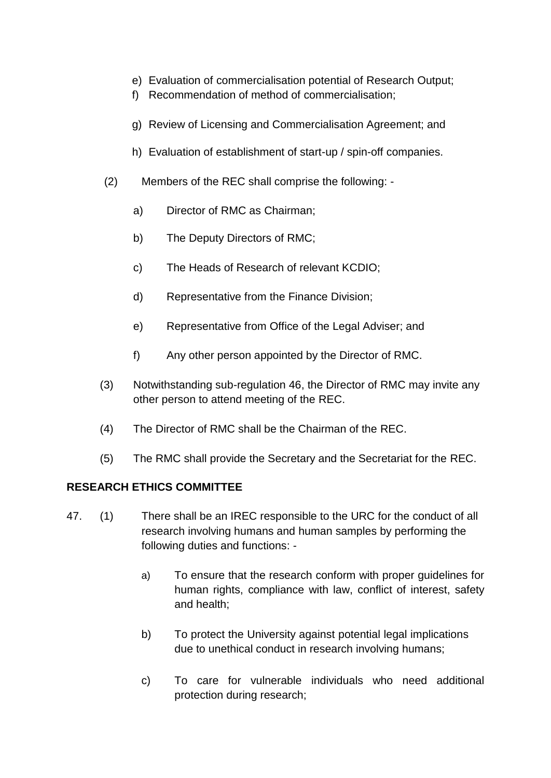- e) Evaluation of commercialisation potential of Research Output;
- f) Recommendation of method of commercialisation;
- g) Review of Licensing and Commercialisation Agreement; and
- h) Evaluation of establishment of start-up / spin-off companies.
- (2) Members of the REC shall comprise the following:
	- a) Director of RMC as Chairman;
	- b) The Deputy Directors of RMC;
	- c) The Heads of Research of relevant KCDIO;
	- d) Representative from the Finance Division;
	- e) Representative from Office of the Legal Adviser; and
	- f) Any other person appointed by the Director of RMC.
- (3) Notwithstanding sub-regulation 46, the Director of RMC may invite any other person to attend meeting of the REC.
- (4) The Director of RMC shall be the Chairman of the REC.
- (5) The RMC shall provide the Secretary and the Secretariat for the REC.

### **RESEARCH ETHICS COMMITTEE**

- 47. (1) There shall be an IREC responsible to the URC for the conduct of all research involving humans and human samples by performing the following duties and functions:
	- a) To ensure that the research conform with proper guidelines for human rights, compliance with law, conflict of interest, safety and health;
	- b) To protect the University against potential legal implications due to unethical conduct in research involving humans;
	- c) To care for vulnerable individuals who need additional protection during research;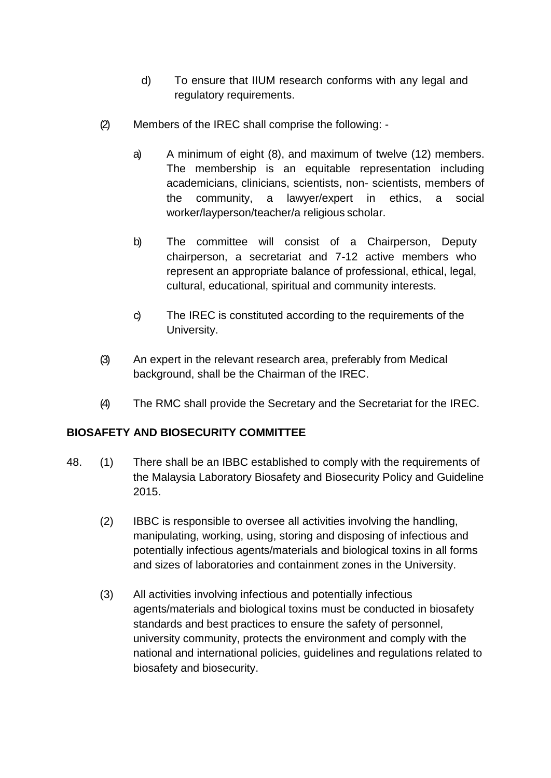- d) To ensure that IIUM research conforms with any legal and regulatory requirements.
- (2) Members of the IREC shall comprise the following:
	- a) A minimum of eight (8), and maximum of twelve (12) members. The membership is an equitable representation including academicians, clinicians, scientists, non- scientists, members of the community, a lawyer/expert in ethics, a social worker/layperson/teacher/a religious scholar.
	- b) The committee will consist of a Chairperson, Deputy chairperson, a secretariat and 7-12 active members who represent an appropriate balance of professional, ethical, legal, cultural, educational, spiritual and community interests.
	- c) The IREC is constituted according to the requirements of the University.
- (3) An expert in the relevant research area, preferably from Medical background, shall be the Chairman of the IREC.
- (4) The RMC shall provide the Secretary and the Secretariat for the IREC.

#### **BIOSAFETY AND BIOSECURITY COMMITTEE**

- 48. (1) There shall be an IBBC established to comply with the requirements of the Malaysia Laboratory Biosafety and Biosecurity Policy and Guideline 2015.
	- (2) IBBC is responsible to oversee all activities involving the handling, manipulating, working, using, storing and disposing of infectious and potentially infectious agents/materials and biological toxins in all forms and sizes of laboratories and containment zones in the University.
	- (3) All activities involving infectious and potentially infectious agents/materials and biological toxins must be conducted in biosafety standards and best practices to ensure the safety of personnel, university community, protects the environment and comply with the national and international policies, guidelines and regulations related to biosafety and biosecurity.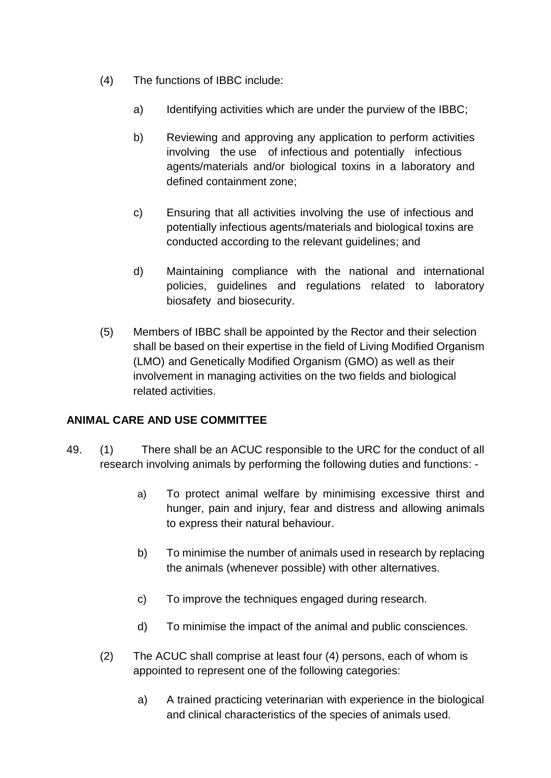- (4) The functions of IBBC include:
	- a) Identifying activities which are under the purview of the IBBC;
	- b) Reviewing and approving any application to perform activities involving the use of infectious and potentially infectious agents/materials and/or biological toxins in a laboratory and defined containment zone;
	- c) Ensuring that all activities involving the use of infectious and potentially infectious agents/materials and biological toxins are conducted according to the relevant guidelines; and
	- d) Maintaining compliance with the national and international policies, guidelines and regulations related to laboratory biosafety and biosecurity.
- (5) Members of IBBC shall be appointed by the Rector and their selection shall be based on their expertise in the field of Living Modified Organism (LMO) and Genetically Modified Organism (GMO) as well as their involvement in managing activities on the two fields and biological related activities.

### **ANIMAL CARE AND USE COMMITTEE**

- 49. (1) There shall be an ACUC responsible to the URC for the conduct of all research involving animals by performing the following duties and functions:
	- a) To protect animal welfare by minimising excessive thirst and hunger, pain and injury, fear and distress and allowing animals to express their natural behaviour.
	- b) To minimise the number of animals used in research by replacing the animals (whenever possible) with other alternatives.
	- c) To improve the techniques engaged during research.
	- d) To minimise the impact of the animal and public consciences.
	- (2) The ACUC shall comprise at least four (4) persons, each of whom is appointed to represent one of the following categories:
		- a) A trained practicing veterinarian with experience in the biological and clinical characteristics of the species of animals used.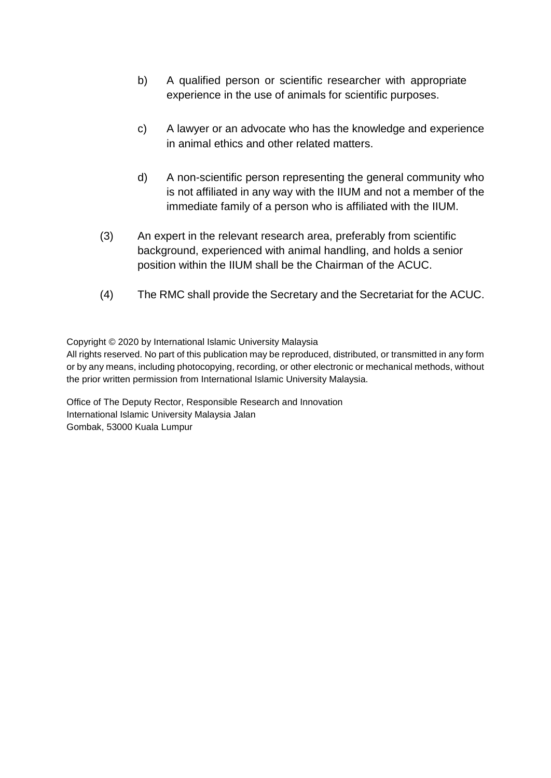- b) A qualified person or scientific researcher with appropriate experience in the use of animals for scientific purposes.
- c) A lawyer or an advocate who has the knowledge and experience in animal ethics and other related matters.
- d) A non-scientific person representing the general community who is not affiliated in any way with the IIUM and not a member of the immediate family of a person who is affiliated with the IIUM.
- (3) An expert in the relevant research area, preferably from scientific background, experienced with animal handling, and holds a senior position within the IIUM shall be the Chairman of the ACUC.
- (4) The RMC shall provide the Secretary and the Secretariat for the ACUC.

Copyright © 2020 by International Islamic University Malaysia

All rights reserved. No part of this publication may be reproduced, distributed, or transmitted in any form or by any means, including photocopying, recording, or other electronic or mechanical methods, without the prior written permission from International Islamic University Malaysia.

Office of The Deputy Rector, Responsible Research and Innovation International Islamic University Malaysia Jalan Gombak, 53000 Kuala Lumpur